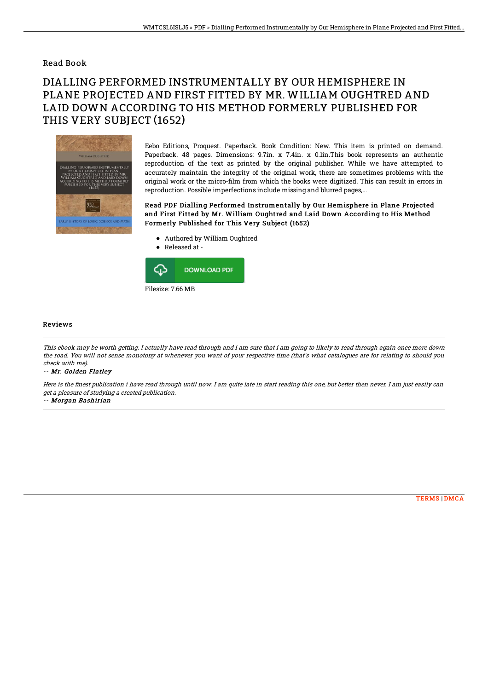## Read Book

## DIALLING PERFORMED INSTRUMENTALLY BY OUR HEMISPHERE IN PLANE PROJECTED AND FIRST FITTED BY MR. WILLIAM OUGHTRED AND LAID DOWN ACCORDING TO HIS METHOD FORMERLY PUBLISHED FOR THIS VERY SUBJECT (1652)



Eebo Editions, Proquest. Paperback. Book Condition: New. This item is printed on demand. Paperback. 48 pages. Dimensions: 9.7in. x 7.4in. x 0.1in.This book represents an authentic reproduction of the text as printed by the original publisher. While we have attempted to accurately maintain the integrity of the original work, there are sometimes problems with the original work or the micro-film from which the books were digitized. This can result in errors in reproduction. Possible imperfections include missing and blurred pages,...

Read PDF Dialling Performed Instrumentally by Our Hemisphere in Plane Projected and First Fitted by Mr. William Oughtred and Laid Down According to His Method Formerly Published for This Very Subject (1652)

- Authored by William Oughtred
- Released at -



## Reviews

This ebook may be worth getting. I actually have read through and i am sure that i am going to likely to read through again once more down the road. You will not sense monotony at whenever you want of your respective time (that's what catalogues are for relating to should you check with me).

-- Mr. Golden Flatley

Here is the finest publication i have read through until now. I am quite late in start reading this one, but better then never. I am just easily can get <sup>a</sup> pleasure of studying <sup>a</sup> created publication.

-- Morgan Bashirian